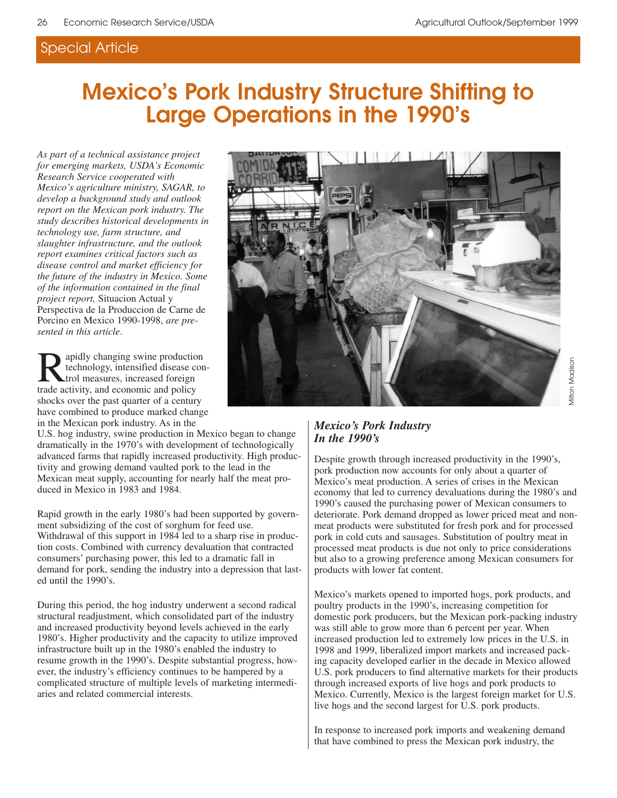## Special Article

## **Mexico's Pork Industry Structure Shifting to Large Operations in the 1990's**

*As part of a technical assistance project for emerging markets, USDA's Economic Research Service cooperated with Mexico's agriculture ministry, SAGAR, to develop a background study and outlook report on the Mexican pork industry. The study describes historical developments in technology use, farm structure, and slaughter infrastructure, and the outlook report examines critical factors such as disease control and market efficiency for the future of the industry in Mexico. Some of the information contained in the final project report,* Situacion Actual y Perspectiva de la Produccion de Carne de Porcino en Mexico 1990-1998, *are presented in this article*.

**R**apidly changing swine production<br>technology, intensified disease control measures, increased foreign<br>trade activity and economic and policy technology, intensified disease control measures, increased foreign trade activity, and economic and policy shocks over the past quarter of a century have combined to produce marked change in the Mexican pork industry. As in the

U.S. hog industry, swine production in Mexico began to change dramatically in the 1970's with development of technologically advanced farms that rapidly increased productivity. High productivity and growing demand vaulted pork to the lead in the Mexican meat supply, accounting for nearly half the meat produced in Mexico in 1983 and 1984.

Rapid growth in the early 1980's had been supported by government subsidizing of the cost of sorghum for feed use. Withdrawal of this support in 1984 led to a sharp rise in production costs. Combined with currency devaluation that contracted consumers' purchasing power, this led to a dramatic fall in demand for pork, sending the industry into a depression that lasted until the 1990's.

During this period, the hog industry underwent a second radical structural readjustment, which consolidated part of the industry and increased productivity beyond levels achieved in the early 1980's. Higher productivity and the capacity to utilize improved infrastructure built up in the 1980's enabled the industry to resume growth in the 1990's. Despite substantial progress, however, the industry's efficiency continues to be hampered by a complicated structure of multiple levels of marketing intermediaries and related commercial interests.



# lilton Madison Milton Madison

#### *Mexico's Pork Industry In the 1990's*

Despite growth through increased productivity in the 1990's, pork production now accounts for only about a quarter of Mexico's meat production. A series of crises in the Mexican economy that led to currency devaluations during the 1980's and 1990's caused the purchasing power of Mexican consumers to deteriorate. Pork demand dropped as lower priced meat and nonmeat products were substituted for fresh pork and for processed pork in cold cuts and sausages. Substitution of poultry meat in processed meat products is due not only to price considerations but also to a growing preference among Mexican consumers for products with lower fat content.

Mexico's markets opened to imported hogs, pork products, and poultry products in the 1990's, increasing competition for domestic pork producers, but the Mexican pork-packing industry was still able to grow more than 6 percent per year. When increased production led to extremely low prices in the U.S. in 1998 and 1999, liberalized import markets and increased packing capacity developed earlier in the decade in Mexico allowed U.S. pork producers to find alternative markets for their products through increased exports of live hogs and pork products to Mexico. Currently, Mexico is the largest foreign market for U.S. live hogs and the second largest for U.S. pork products.

In response to increased pork imports and weakening demand that have combined to press the Mexican pork industry, the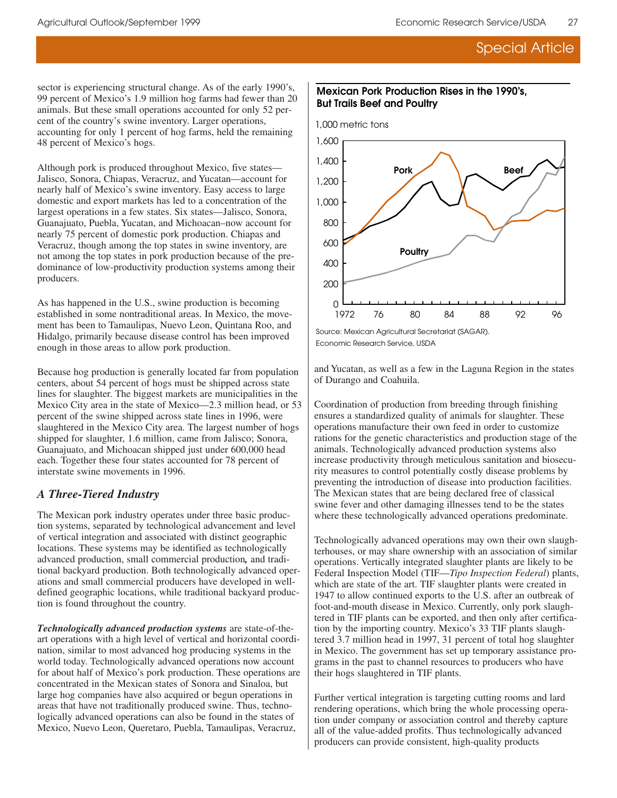## Special Article

sector is experiencing structural change. As of the early 1990's, 99 percent of Mexico's 1.9 million hog farms had fewer than 20 animals. But these small operations accounted for only 52 percent of the country's swine inventory. Larger operations, accounting for only 1 percent of hog farms, held the remaining 48 percent of Mexico's hogs.

Although pork is produced throughout Mexico, five states— Jalisco, Sonora, Chiapas, Veracruz, and Yucatan—account for nearly half of Mexico's swine inventory. Easy access to large domestic and export markets has led to a concentration of the largest operations in a few states. Six states—Jalisco, Sonora, Guanajuato, Puebla, Yucatan, and Michoacan–now account for nearly 75 percent of domestic pork production. Chiapas and Veracruz, though among the top states in swine inventory, are not among the top states in pork production because of the predominance of low-productivity production systems among their producers.

As has happened in the U.S., swine production is becoming established in some nontraditional areas. In Mexico, the movement has been to Tamaulipas, Nuevo Leon, Quintana Roo, and Hidalgo, primarily because disease control has been improved enough in those areas to allow pork production.

Because hog production is generally located far from population centers, about 54 percent of hogs must be shipped across state lines for slaughter. The biggest markets are municipalities in the Mexico City area in the state of Mexico—2.3 million head, or 53 percent of the swine shipped across state lines in 1996, were slaughtered in the Mexico City area. The largest number of hogs shipped for slaughter, 1.6 million, came from Jalisco; Sonora, Guanajuato, and Michoacan shipped just under 600,000 head each. Together these four states accounted for 78 percent of interstate swine movements in 1996.

#### *A Three-Tiered Industry*

The Mexican pork industry operates under three basic production systems, separated by technological advancement and level of vertical integration and associated with distinct geographic locations. These systems may be identified as technologically advanced production, small commercial production*,* and traditional backyard production. Both technologically advanced operations and small commercial producers have developed in welldefined geographic locations, while traditional backyard production is found throughout the country.

*Technologically advanced production systems* are state-of-theart operations with a high level of vertical and horizontal coordination, similar to most advanced hog producing systems in the world today. Technologically advanced operations now account for about half of Mexico's pork production. These operations are concentrated in the Mexican states of Sonora and Sinaloa, but large hog companies have also acquired or begun operations in areas that have not traditionally produced swine. Thus, technologically advanced operations can also be found in the states of Mexico, Nuevo Leon, Queretaro, Puebla, Tamaulipas, Veracruz,

#### **Mexican Pork Production Rises in the 1990's, But Trails Beef and Poultry**



Economic Research Service, USDA Source: Mexican Agricultural Secretariat (SAGAR).

and Yucatan, as well as a few in the Laguna Region in the states of Durango and Coahuila.

Coordination of production from breeding through finishing ensures a standardized quality of animals for slaughter. These operations manufacture their own feed in order to customize rations for the genetic characteristics and production stage of the animals. Technologically advanced production systems also increase productivity through meticulous sanitation and biosecurity measures to control potentially costly disease problems by preventing the introduction of disease into production facilities. The Mexican states that are being declared free of classical swine fever and other damaging illnesses tend to be the states where these technologically advanced operations predominate.

Technologically advanced operations may own their own slaughterhouses, or may share ownership with an association of similar operations. Vertically integrated slaughter plants are likely to be Federal Inspection Model (TIF—*Tipo Inspection Federal*) plants, which are state of the art. TIF slaughter plants were created in 1947 to allow continued exports to the U.S. after an outbreak of foot-and-mouth disease in Mexico. Currently, only pork slaughtered in TIF plants can be exported, and then only after certification by the importing country. Mexico's 33 TIF plants slaughtered 3.7 million head in 1997, 31 percent of total hog slaughter in Mexico. The government has set up temporary assistance programs in the past to channel resources to producers who have their hogs slaughtered in TIF plants.

Further vertical integration is targeting cutting rooms and lard rendering operations, which bring the whole processing operation under company or association control and thereby capture all of the value-added profits. Thus technologically advanced producers can provide consistent, high-quality products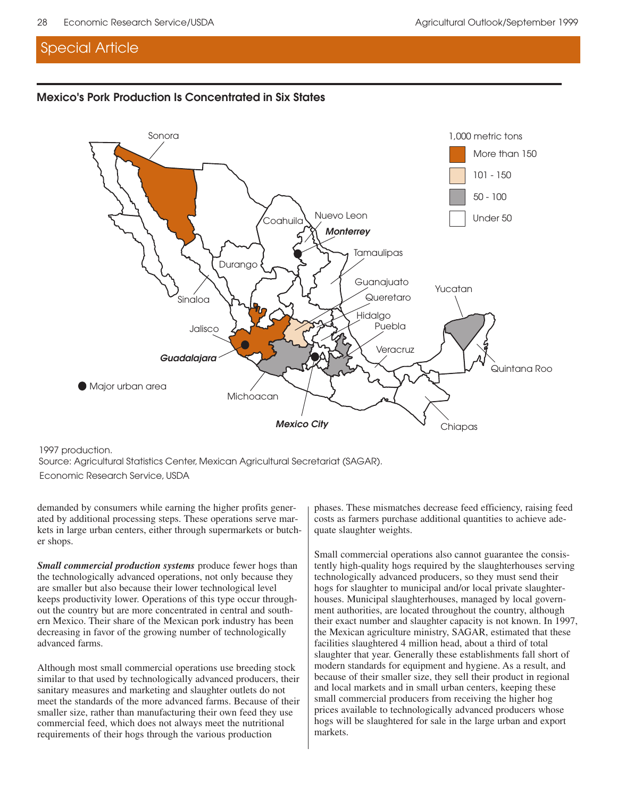### Special Article

#### **Mexico's Pork Production Is Concentrated in Six States**



1997 production. Source: Agricultural Statistics Center, Mexican Agricultural Secretariat (SAGAR). Economic Research Service, USDA

demanded by consumers while earning the higher profits generated by additional processing steps. These operations serve markets in large urban centers, either through supermarkets or butcher shops.

*Small commercial production systems* produce fewer hogs than the technologically advanced operations, not only because they are smaller but also because their lower technological level keeps productivity lower. Operations of this type occur throughout the country but are more concentrated in central and southern Mexico. Their share of the Mexican pork industry has been decreasing in favor of the growing number of technologically advanced farms.

Although most small commercial operations use breeding stock similar to that used by technologically advanced producers, their sanitary measures and marketing and slaughter outlets do not meet the standards of the more advanced farms. Because of their smaller size, rather than manufacturing their own feed they use commercial feed, which does not always meet the nutritional requirements of their hogs through the various production

phases. These mismatches decrease feed efficiency, raising feed costs as farmers purchase additional quantities to achieve adequate slaughter weights.

Small commercial operations also cannot guarantee the consistently high-quality hogs required by the slaughterhouses serving technologically advanced producers, so they must send their hogs for slaughter to municipal and/or local private slaughterhouses. Municipal slaughterhouses, managed by local government authorities, are located throughout the country, although their exact number and slaughter capacity is not known. In 1997, the Mexican agriculture ministry, SAGAR, estimated that these facilities slaughtered 4 million head, about a third of total slaughter that year. Generally these establishments fall short of modern standards for equipment and hygiene. As a result, and because of their smaller size, they sell their product in regional and local markets and in small urban centers, keeping these small commercial producers from receiving the higher hog prices available to technologically advanced producers whose hogs will be slaughtered for sale in the large urban and export markets.